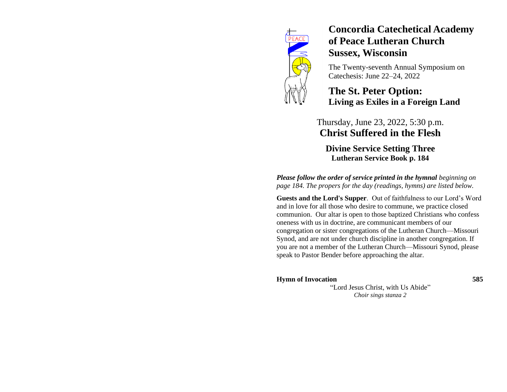

# **Concordia Catechetical Academy of Peace Lutheran Church Sussex, Wisconsin**

The Twenty-seventh Annual Symposium on Catechesis: June 22–24, 2022

## **The St. Peter Option: Living as Exiles in a Foreign Land**

## Thursday, June 23, 2022, 5:30 p.m. **Christ Suffered in the Flesh**

**Divine Service Setting Three Lutheran Service Book p. 184**

*Please follow the order of service printed in the hymnal beginning on page 184. The propers for the day (readings, hymns) are listed below.*

**Guests and the Lord's Supper**. Out of faithfulness to our Lord's Word and in love for all those who desire to commune, we practice closed communion. Our altar is open to those baptized Christians who confess oneness with us in doctrine, are communicant members of our congregation or sister congregations of the Lutheran Church—Missouri Synod, and are not under church discipline in another congregation. If you are not a member of the Lutheran Church—Missouri Synod, please speak to Pastor Bender before approaching the altar.

### **Hymn of Invocation 585**

"Lord Jesus Christ, with Us Abide" *Choir sings stanza 2*